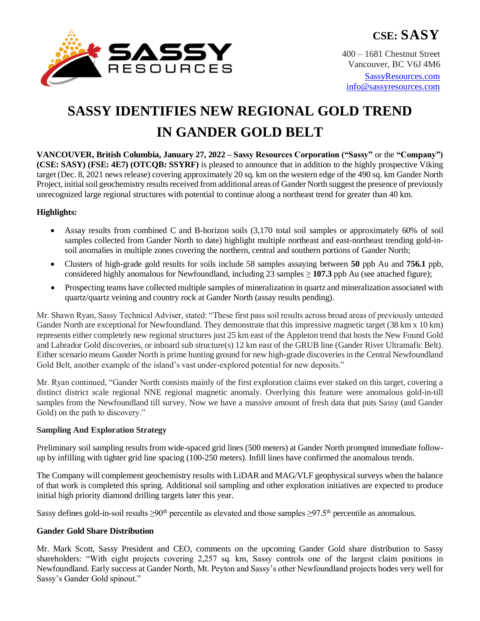

400 – 1681 Chestnut Street Vancouver, BC V6J 4M6 [SassyResources.com](http://www.sassyresources.ca/) [info@sassyresources.com](mailto:info@sassyresources.com)

# **SASSY IDENTIFIES NEW REGIONAL GOLD TREND IN GANDER GOLD BELT**

**VANCOUVER, British Columbia, January 27, 2022 – Sassy Resources Corporation ("Sassy"** or the **"Company") (CSE: SASY) (FSE: 4E7) (OTCQB: SSYRF)** is pleased to announce that in addition to the highly prospective Viking target (Dec. 8, 2021 news release) covering approximately 20 sq. km on the western edge of the 490 sq. km Gander North Project, initial soil geochemistry results received from additional areas of Gander North suggest the presence of previously unrecognized large regional structures with potential to continue along a northeast trend for greater than 40 km.

# **Highlights:**

- Assay results from combined C and B-horizon soils (3,170 total soil samples or approximately 60% of soil samples collected from Gander North to date) highlight multiple northeast and east-northeast trending gold-insoil anomalies in multiple zones covering the northern, central and southern portions of Gander North;
- Clusters of high-grade gold results for soils include 58 samples assaying between **50** ppb Au and **756.1** ppb, considered highly anomalous for Newfoundland, including 23 samples ≥ **107.3** ppb Au (see attached figure);
- Prospecting teams have collected multiple samples of mineralization in quartz and mineralization associated with quartz/quartz veining and country rock at Gander North (assay results pending).

Mr. Shawn Ryan, Sassy Technical Adviser, stated: "These first pass soil results across broad areas of previously untested Gander North are exceptional for Newfoundland. They demonstrate that this impressive magnetic target (38 km x 10 km) represents either completely new regional structures just 25 km east of the Appleton trend that hosts the New Found Gold and Labrador Gold discoveries, or inboard sub structure(s) 12 km east of the GRUB line (Gander River Ultramafic Belt). Either scenario means Gander North is prime hunting ground for new high-grade discoveries in the Central Newfoundland Gold Belt, another example of the island's vast under-explored potential for new deposits."

Mr. Ryan continued, "Gander North consists mainly of the first exploration claims ever staked on this target, covering a distinct district scale regional NNE regional magnetic anomaly. Overlying this feature were anomalous gold-in-till samples from the Newfoundland till survey. Now we have a massive amount of fresh data that puts Sassy (and Gander Gold) on the path to discovery."

## **Sampling And Exploration Strategy**

Preliminary soil sampling results from wide-spaced grid lines (500 meters) at Gander North prompted immediate followup by infilling with tighter grid line spacing (100-250 meters). Infill lines have confirmed the anomalous trends.

The Company will complement geochemistry results with LiDAR and MAG/VLF geophysical surveys when the balance of that work is completed this spring. Additional soil sampling and other exploration initiatives are expected to produce initial high priority diamond drilling targets later this year.

Sassy defines gold-in-soil results  $\geq 90^{th}$  percentile as elevated and those samples  $\geq 97.5^{th}$  percentile as anomalous.

## **Gander Gold Share Distribution**

Mr. Mark Scott, Sassy President and CEO, comments on the upcoming Gander Gold share distribution to Sassy shareholders: "With eight projects covering 2,257 sq. km, Sassy controls one of the largest claim positions in Newfoundland. Early success at Gander North, Mt. Peyton and Sassy's other Newfoundland projects bodes very well for Sassy's Gander Gold spinout."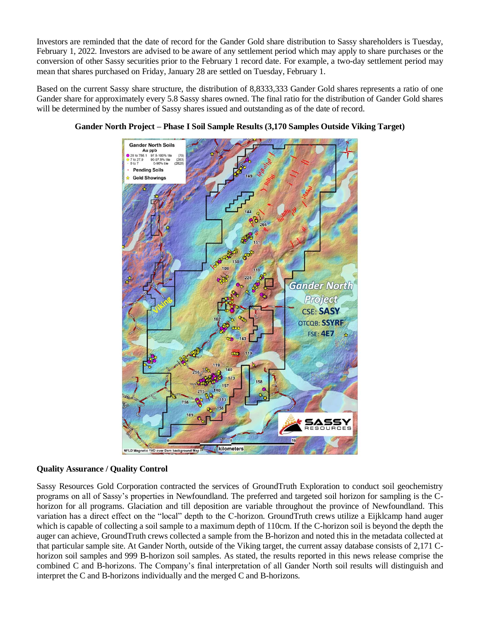Investors are reminded that the date of record for the Gander Gold share distribution to Sassy shareholders is Tuesday, February 1, 2022. Investors are advised to be aware of any settlement period which may apply to share purchases or the conversion of other Sassy securities prior to the February 1 record date. For example, a two-day settlement period may mean that shares purchased on Friday, January 28 are settled on Tuesday, February 1.

Based on the current Sassy share structure, the distribution of 8,8333,333 Gander Gold shares represents a ratio of one Gander share for approximately every 5.8 Sassy shares owned. The final ratio for the distribution of Gander Gold shares will be determined by the number of Sassy shares issued and outstanding as of the date of record.



## **Gander North Project – Phase I Soil Sample Results (3,170 Samples Outside Viking Target)**

### **Quality Assurance / Quality Control**

Sassy Resources Gold Corporation contracted the services of GroundTruth Exploration to conduct soil geochemistry programs on all of Sassy's properties in Newfoundland. The preferred and targeted soil horizon for sampling is the Chorizon for all programs. Glaciation and till deposition are variable throughout the province of Newfoundland. This variation has a direct effect on the "local" depth to the C-horizon. GroundTruth crews utilize a Eijklcamp hand auger which is capable of collecting a soil sample to a maximum depth of 110cm. If the C-horizon soil is beyond the depth the auger can achieve, GroundTruth crews collected a sample from the B-horizon and noted this in the metadata collected at that particular sample site. At Gander North, outside of the Viking target, the current assay database consists of 2,171 Chorizon soil samples and 999 B-horizon soil samples. As stated, the results reported in this news release comprise the combined C and B-horizons. The Company's final interpretation of all Gander North soil results will distinguish and interpret the C and B-horizons individually and the merged C and B-horizons.